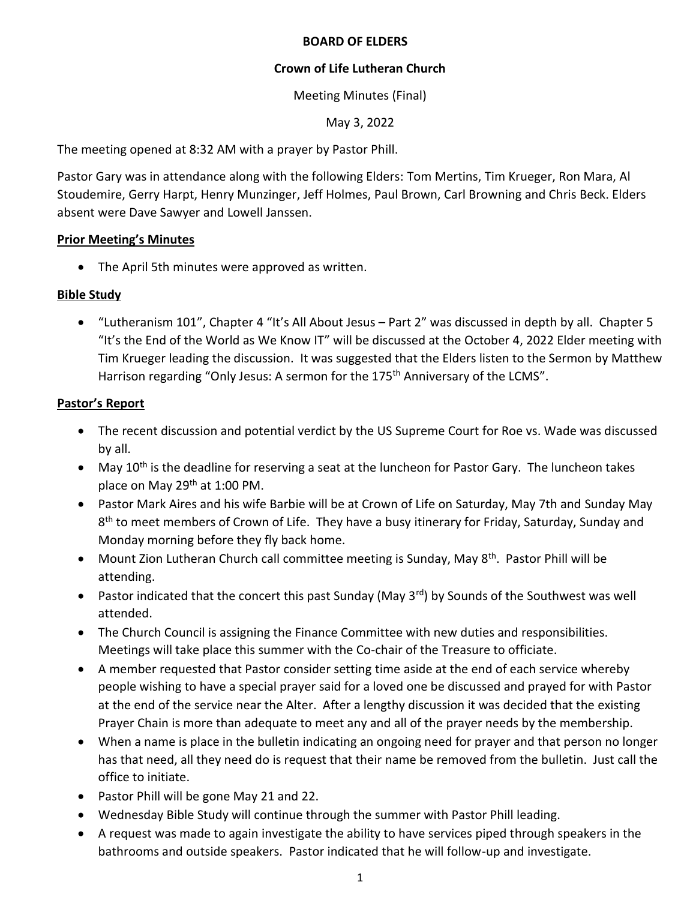#### **BOARD OF ELDERS**

## **Crown of Life Lutheran Church**

## Meeting Minutes (Final)

## May 3, 2022

The meeting opened at 8:32 AM with a prayer by Pastor Phill.

Pastor Gary was in attendance along with the following Elders: Tom Mertins, Tim Krueger, Ron Mara, Al Stoudemire, Gerry Harpt, Henry Munzinger, Jeff Holmes, Paul Brown, Carl Browning and Chris Beck. Elders absent were Dave Sawyer and Lowell Janssen.

# **Prior Meeting's Minutes**

• The April 5th minutes were approved as written.

# **Bible Study**

• "Lutheranism 101", Chapter 4 "It's All About Jesus – Part 2" was discussed in depth by all. Chapter 5 "It's the End of the World as We Know IT" will be discussed at the October 4, 2022 Elder meeting with Tim Krueger leading the discussion. It was suggested that the Elders listen to the Sermon by Matthew Harrison regarding "Only Jesus: A sermon for the 175<sup>th</sup> Anniversary of the LCMS".

# **Pastor's Report**

- The recent discussion and potential verdict by the US Supreme Court for Roe vs. Wade was discussed by all.
- May 10<sup>th</sup> is the deadline for reserving a seat at the luncheon for Pastor Gary. The luncheon takes place on May 29<sup>th</sup> at 1:00 PM.
- Pastor Mark Aires and his wife Barbie will be at Crown of Life on Saturday, May 7th and Sunday May 8<sup>th</sup> to meet members of Crown of Life. They have a busy itinerary for Friday, Saturday, Sunday and Monday morning before they fly back home.
- Mount Zion Lutheran Church call committee meeting is Sunday, May 8<sup>th</sup>. Pastor Phill will be attending.
- Pastor indicated that the concert this past Sunday (May 3<sup>rd</sup>) by Sounds of the Southwest was well attended.
- The Church Council is assigning the Finance Committee with new duties and responsibilities. Meetings will take place this summer with the Co-chair of the Treasure to officiate.
- A member requested that Pastor consider setting time aside at the end of each service whereby people wishing to have a special prayer said for a loved one be discussed and prayed for with Pastor at the end of the service near the Alter. After a lengthy discussion it was decided that the existing Prayer Chain is more than adequate to meet any and all of the prayer needs by the membership.
- When a name is place in the bulletin indicating an ongoing need for prayer and that person no longer has that need, all they need do is request that their name be removed from the bulletin. Just call the office to initiate.
- Pastor Phill will be gone May 21 and 22.
- Wednesday Bible Study will continue through the summer with Pastor Phill leading.
- A request was made to again investigate the ability to have services piped through speakers in the bathrooms and outside speakers. Pastor indicated that he will follow-up and investigate.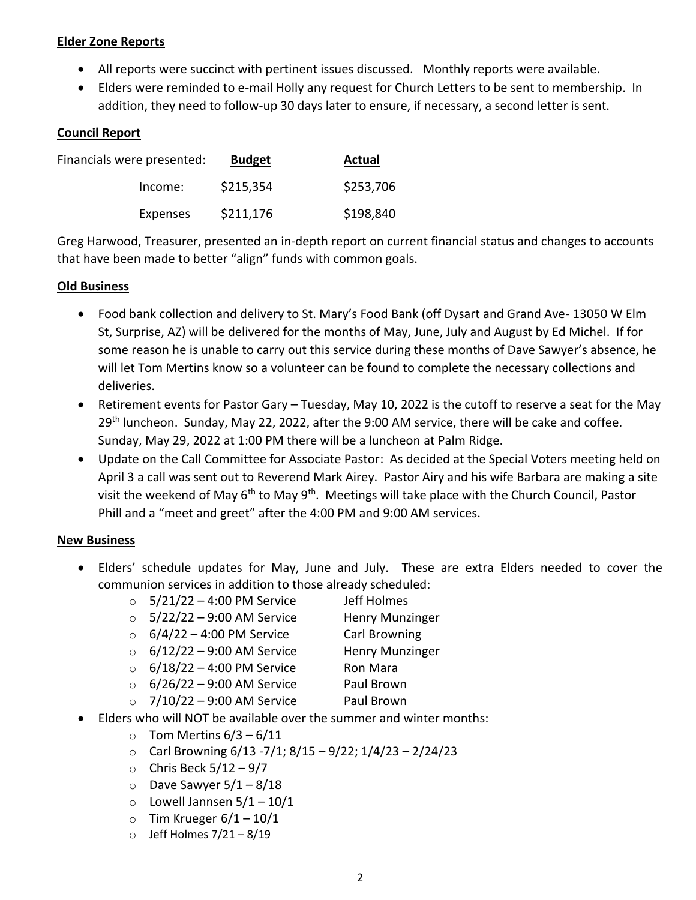### **Elder Zone Reports**

- All reports were succinct with pertinent issues discussed. Monthly reports were available.
- Elders were reminded to e-mail Holly any request for Church Letters to be sent to membership. In addition, they need to follow-up 30 days later to ensure, if necessary, a second letter is sent.

### **Council Report**

| Financials were presented: | <b>Budget</b> | Actual    |
|----------------------------|---------------|-----------|
| Income:                    | \$215,354     | \$253,706 |
| Expenses                   | \$211,176     | \$198,840 |

Greg Harwood, Treasurer, presented an in-depth report on current financial status and changes to accounts that have been made to better "align" funds with common goals.

#### **Old Business**

- Food bank collection and delivery to St. Mary's Food Bank (off Dysart and Grand Ave- 13050 W Elm St, Surprise, AZ) will be delivered for the months of May, June, July and August by Ed Michel. If for some reason he is unable to carry out this service during these months of Dave Sawyer's absence, he will let Tom Mertins know so a volunteer can be found to complete the necessary collections and deliveries.
- Retirement events for Pastor Gary Tuesday, May 10, 2022 is the cutoff to reserve a seat for the May 29<sup>th</sup> luncheon. Sunday, May 22, 2022, after the 9:00 AM service, there will be cake and coffee. Sunday, May 29, 2022 at 1:00 PM there will be a luncheon at Palm Ridge.
- Update on the Call Committee for Associate Pastor: As decided at the Special Voters meeting held on April 3 a call was sent out to Reverend Mark Airey. Pastor Airy and his wife Barbara are making a site visit the weekend of May  $6<sup>th</sup>$  to May  $9<sup>th</sup>$ . Meetings will take place with the Church Council, Pastor Phill and a "meet and greet" after the 4:00 PM and 9:00 AM services.

#### **New Business**

- Elders' schedule updates for May, June and July. These are extra Elders needed to cover the communion services in addition to those already scheduled:
	- $\circ$  5/21/22 4:00 PM Service Jeff Holmes
	- $\circ$  5/22/22 9:00 AM Service Henry Munzinger
	- $\circ$  6/4/22 4:00 PM Service Carl Browning
		-
	- $\circ$  6/12/22 9:00 AM Service Henry Munzinger  $\circ$  6/18/22 – 4:00 PM Service Ron Mara
	-
	- $\circ$  6/26/22 9:00 AM Service Paul Brown
	- $\circ$  7/10/22 9:00 AM Service Paul Brown
- Elders who will NOT be available over the summer and winter months:
	- $\circ$  Tom Mertins 6/3 6/11
	- o Carl Browning 6/13 -7/1; 8/15 9/22; 1/4/23 2/24/23
	- $\circ$  Chris Beck 5/12 9/7
	- $\circ$  Dave Sawyer 5/1 8/18
	- $\circ$  Lowell Jannsen  $5/1 10/1$
	- $\circ$  Tim Krueger 6/1 10/1
	- $\circ$  Jeff Holmes 7/21 8/19